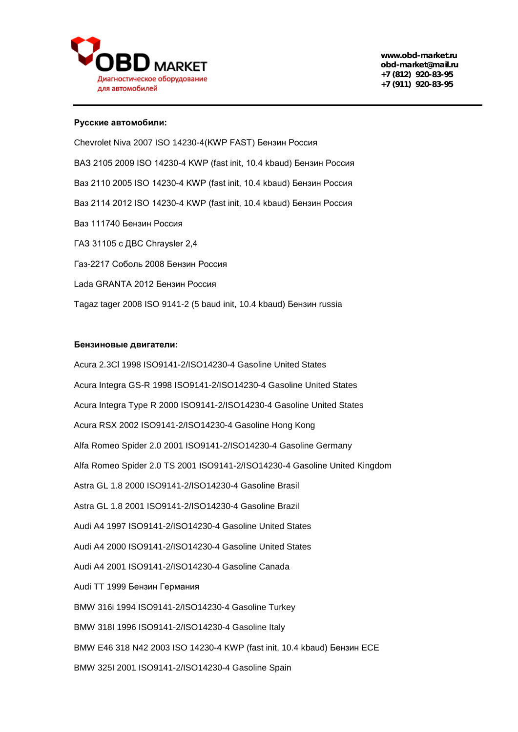

## **Русские автомобили:**

Chevrolet Niva 2007 ISO 14230-4(KWP FAST) Бензин Россия ВАЗ 2105 2009 ISO 14230-4 KWP (fast init, 10.4 kbaud) Бензин Россия Ваз 2110 2005 ISO 14230-4 KWP (fast init, 10.4 kbaud) Бензин Россия Ваз 2114 2012 ISO 14230-4 KWP (fast init, 10.4 kbaud) Бензин Россия Ваз 111740 Бензин Россия ГАЗ 31105 с ДВС Chraysler 2,4 Газ-2217 Соболь 2008 Бензин Россия Lada GRANTA 2012 Бензин Россия Tagaz tager 2008 ISO 9141-2 (5 baud init, 10.4 kbaud) Бензин russia

## **Бензиновые двигатели:**

Acura 2.3Cl 1998 ISO9141-2/ISO14230-4 Gasoline United States Acura Integra GS-R 1998 ISO9141-2/ISO14230-4 Gasoline United States Acura Integra Type R 2000 ISO9141-2/ISO14230-4 Gasoline United States Acura RSX 2002 ISO9141-2/ISO14230-4 Gasoline Hong Kong Alfa Romeo Spider 2.0 2001 ISO9141-2/ISO14230-4 Gasoline Germany Alfa Romeo Spider 2.0 TS 2001 ISO9141-2/ISO14230-4 Gasoline United Kingdom Astra GL 1.8 2000 ISO9141-2/ISO14230-4 Gasoline Brasil Astra GL 1.8 2001 ISO9141-2/ISO14230-4 Gasoline Brazil Audi A4 1997 ISO9141-2/ISO14230-4 Gasoline United States Audi A4 2000 ISO9141-2/ISO14230-4 Gasoline United States Audi A4 2001 ISO9141-2/ISO14230-4 Gasoline Canada Audi TT 1999 Бензин Германия BMW 316i 1994 ISO9141-2/ISO14230-4 Gasoline Turkey BMW 318I 1996 ISO9141-2/ISO14230-4 Gasoline Italy BMW E46 318 N42 2003 ISO 14230-4 KWP (fast init, 10.4 kbaud) Бензин ECE BMW 325I 2001 ISO9141-2/ISO14230-4 Gasoline Spain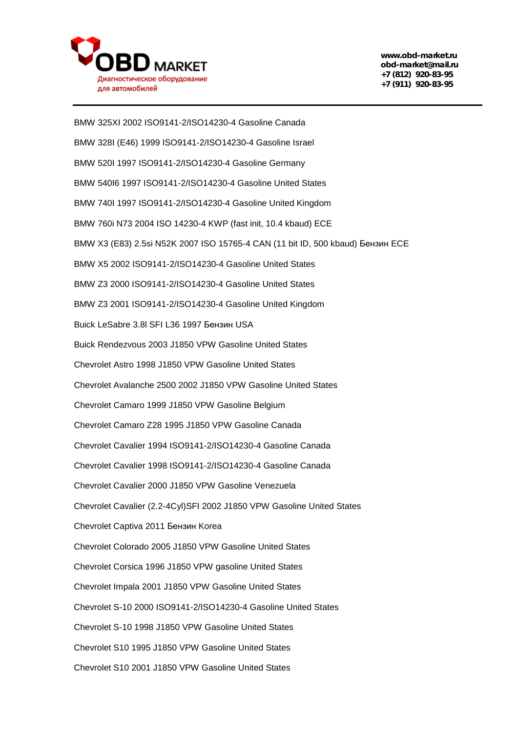

BMW 325XI 2002 ISO9141-2/ISO14230-4 Gasoline Canada BMW 328I (E46) 1999 ISO9141-2/ISO14230-4 Gasoline Israel BMW 520I 1997 ISO9141-2/ISO14230-4 Gasoline Germany BMW 540I6 1997 ISO9141-2/ISO14230-4 Gasoline United States BMW 740I 1997 ISO9141-2/ISO14230-4 Gasoline United Kingdom BMW 760i N73 2004 ISO 14230-4 KWP (fast init, 10.4 kbaud) ECE BMW X3 (E83) 2.5si N52K 2007 ISO 15765-4 CAN (11 bit ID, 500 kbaud) Бензин ECE BMW X5 2002 ISO9141-2/ISO14230-4 Gasoline United States BMW Z3 2000 ISO9141-2/ISO14230-4 Gasoline United States BMW Z3 2001 ISO9141-2/ISO14230-4 Gasoline United Kingdom Buick LeSabre 3.8l SFI L36 1997 Бензин USA Buick Rendezvous 2003 J1850 VPW Gasoline United States Chevrolet Astro 1998 J1850 VPW Gasoline United States Chevrolet Avalanche 2500 2002 J1850 VPW Gasoline United States Chevrolet Camaro 1999 J1850 VPW Gasoline Belgium Chevrolet Camaro Z28 1995 J1850 VPW Gasoline Canada Chevrolet Cavalier 1994 ISO9141-2/ISO14230-4 Gasoline Canada Chevrolet Cavalier 1998 ISO9141-2/ISO14230-4 Gasoline Canada Chevrolet Cavalier 2000 J1850 VPW Gasoline Venezuela Chevrolet Cavalier (2.2-4Cyl)SFI 2002 J1850 VPW Gasoline United States Chevrolet Captiva 2011 Бензин Korea Chevrolet Colorado 2005 J1850 VPW Gasoline United States Chevrolet Corsica 1996 J1850 VPW gasoline United States Chevrolet Impala 2001 J1850 VPW Gasoline United States Chevrolet S-10 2000 ISO9141-2/ISO14230-4 Gasoline United States Chevrolet S-10 1998 J1850 VPW Gasoline United States Chevrolet S10 1995 J1850 VPW Gasoline United States Chevrolet S10 2001 J1850 VPW Gasoline United States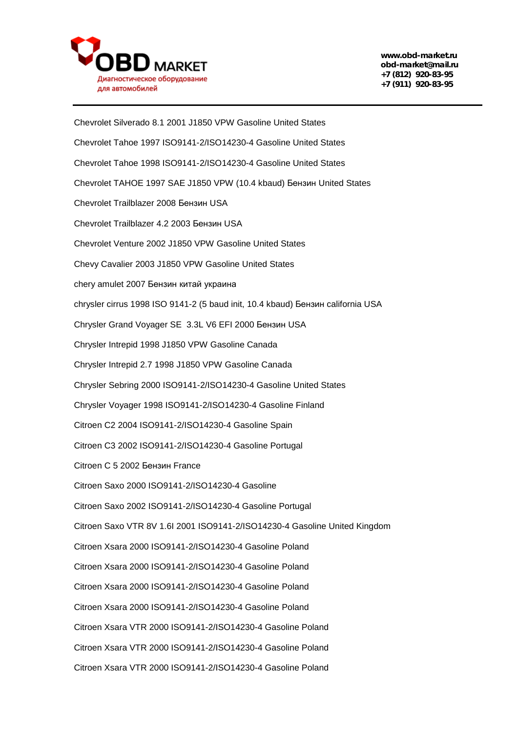

Chevrolet Silverado 8.1 2001 J1850 VPW Gasoline United States Chevrolet Tahoe 1997 ISO9141-2/ISO14230-4 Gasoline United States Chevrolet Tahoe 1998 ISO9141-2/ISO14230-4 Gasoline United States Chevrolet TAHOE 1997 SAE J1850 VPW (10.4 kbaud) Бензин United States Chevrolet Trailblazer 2008 Бензин USA Chevrolet Trailblazer 4.2 2003 Бензин USA Chevrolet Venture 2002 J1850 VPW Gasoline United States Chevy Cavalier 2003 J1850 VPW Gasoline United States chery amulet 2007 Бензин китай украина chrysler cirrus 1998 ISO 9141-2 (5 baud init, 10.4 kbaud) Бензин california USA Chrysler Grand Voyager SE 3.3L V6 EFI 2000 Бензин USA Chrysler Intrepid 1998 J1850 VPW Gasoline Canada Chrysler Intrepid 2.7 1998 J1850 VPW Gasoline Canada Chrysler Sebring 2000 ISO9141-2/ISO14230-4 Gasoline United States Chrysler Voyager 1998 ISO9141-2/ISO14230-4 Gasoline Finland Citroen C2 2004 ISO9141-2/ISO14230-4 Gasoline Spain Citroen C3 2002 ISO9141-2/ISO14230-4 Gasoline Portugal Citroen C 5 2002 Бензин France Citroen Saxo 2000 ISO9141-2/ISO14230-4 Gasoline Citroen Saxo 2002 ISO9141-2/ISO14230-4 Gasoline Portugal Citroen Saxo VTR 8V 1.6I 2001 ISO9141-2/ISO14230-4 Gasoline United Kingdom Citroen Xsara 2000 ISO9141-2/ISO14230-4 Gasoline Poland Citroen Xsara 2000 ISO9141-2/ISO14230-4 Gasoline Poland Citroen Xsara 2000 ISO9141-2/ISO14230-4 Gasoline Poland Citroen Xsara 2000 ISO9141-2/ISO14230-4 Gasoline Poland Citroen Xsara VTR 2000 ISO9141-2/ISO14230-4 Gasoline Poland Citroen Xsara VTR 2000 ISO9141-2/ISO14230-4 Gasoline Poland Citroen Xsara VTR 2000 ISO9141-2/ISO14230-4 Gasoline Poland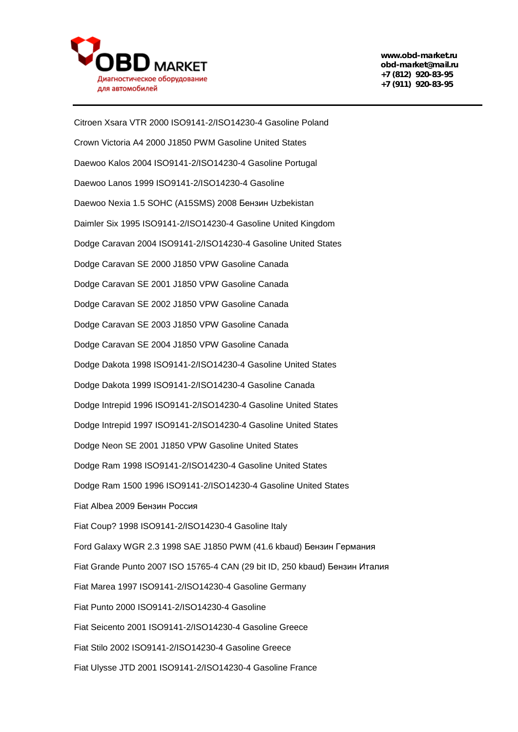

Citroen Xsara VTR 2000 ISO9141-2/ISO14230-4 Gasoline Poland Crown Victoria A4 2000 J1850 PWM Gasoline United States Daewoo Kalos 2004 ISO9141-2/ISO14230-4 Gasoline Portugal Daewoo Lanos 1999 ISO9141-2/ISO14230-4 Gasoline Daewoo Nexia 1.5 SOHC (A15SMS) 2008 Бензин Uzbekistan Daimler Six 1995 ISO9141-2/ISO14230-4 Gasoline United Kingdom Dodge Caravan 2004 ISO9141-2/ISO14230-4 Gasoline United States Dodge Caravan SE 2000 J1850 VPW Gasoline Canada Dodge Caravan SE 2001 J1850 VPW Gasoline Canada Dodge Caravan SE 2002 J1850 VPW Gasoline Canada Dodge Caravan SE 2003 J1850 VPW Gasoline Canada Dodge Caravan SE 2004 J1850 VPW Gasoline Canada Dodge Dakota 1998 ISO9141-2/ISO14230-4 Gasoline United States Dodge Dakota 1999 ISO9141-2/ISO14230-4 Gasoline Canada Dodge Intrepid 1996 ISO9141-2/ISO14230-4 Gasoline United States Dodge Intrepid 1997 ISO9141-2/ISO14230-4 Gasoline United States Dodge Neon SE 2001 J1850 VPW Gasoline United States Dodge Ram 1998 ISO9141-2/ISO14230-4 Gasoline United States Dodge Ram 1500 1996 ISO9141-2/ISO14230-4 Gasoline United States Fiat Albea 2009 Бензин Россия Fiat Coup? 1998 ISO9141-2/ISO14230-4 Gasoline Italy Ford Galaxy WGR 2.3 1998 SAE J1850 PWM (41.6 kbaud) Бензин Германия Fiat Grande Punto 2007 ISO 15765-4 CAN (29 bit ID, 250 kbaud) Бензин Италия Fiat Marea 1997 ISO9141-2/ISO14230-4 Gasoline Germany Fiat Punto 2000 ISO9141-2/ISO14230-4 Gasoline Fiat Seicento 2001 ISO9141-2/ISO14230-4 Gasoline Greece Fiat Stilo 2002 ISO9141-2/ISO14230-4 Gasoline Greece Fiat Ulysse JTD 2001 ISO9141-2/ISO14230-4 Gasoline France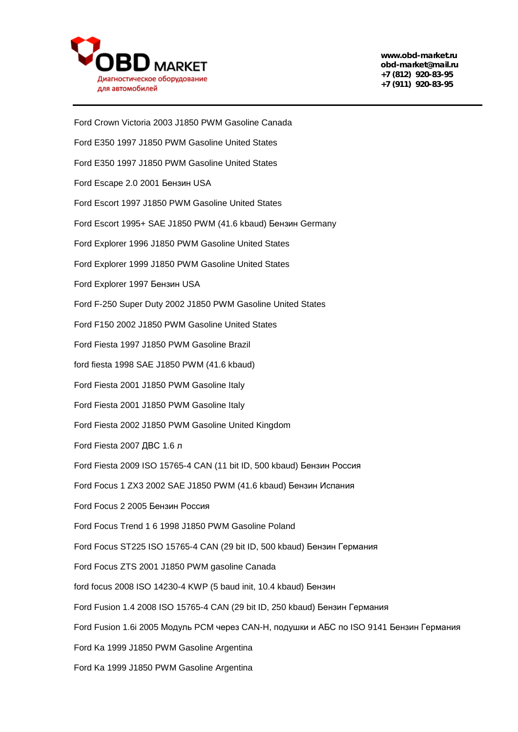

Ford Crown Victoria 2003 J1850 PWM Gasoline Canada Ford E350 1997 J1850 PWM Gasoline United States Ford E350 1997 J1850 PWM Gasoline United States Ford Escape 2.0 2001 Бензин USA Ford Escort 1997 J1850 PWM Gasoline United States Ford Escort 1995+ SAE J1850 PWM (41.6 kbaud) Бензин Germany Ford Explorer 1996 J1850 PWM Gasoline United States Ford Explorer 1999 J1850 PWM Gasoline United States Ford Explorer 1997 Бензин USA Ford F-250 Super Duty 2002 J1850 PWM Gasoline United States Ford F150 2002 J1850 PWM Gasoline United States Ford Fiesta 1997 J1850 PWM Gasoline Brazil ford fiesta 1998 SAE J1850 PWM (41.6 kbaud) Ford Fiesta 2001 J1850 PWM Gasoline Italy Ford Fiesta 2001 J1850 PWM Gasoline Italy Ford Fiesta 2002 J1850 PWM Gasoline United Kingdom Ford Fiesta 2007 ДВС 1.6 л Ford Fiesta 2009 ISO 15765-4 CAN (11 bit ID, 500 kbaud) Бензин Россия Ford Focus 1 ZX3 2002 SAE J1850 PWM (41.6 kbaud) Бензин Испания Ford Focus 2 2005 Бензин Россия Ford Focus Trend 1 6 1998 J1850 PWM Gasoline Poland Ford Focus ST225 ISO 15765-4 CAN (29 bit ID, 500 kbaud) Бензин Германия Ford Focus ZTS 2001 J1850 PWM gasoline Canada ford focus 2008 ISO 14230-4 KWP (5 baud init, 10.4 kbaud) Бензин Ford Fusion 1.4 2008 ISO 15765-4 CAN (29 bit ID, 250 kbaud) Бензин Германия Ford Fusion 1.6i 2005 Модуль PCM через CAN-H, подушки и АБС по ISO 9141 Бензин Германия Ford Ka 1999 J1850 PWM Gasoline Argentina Ford Ka 1999 J1850 PWM Gasoline Argentina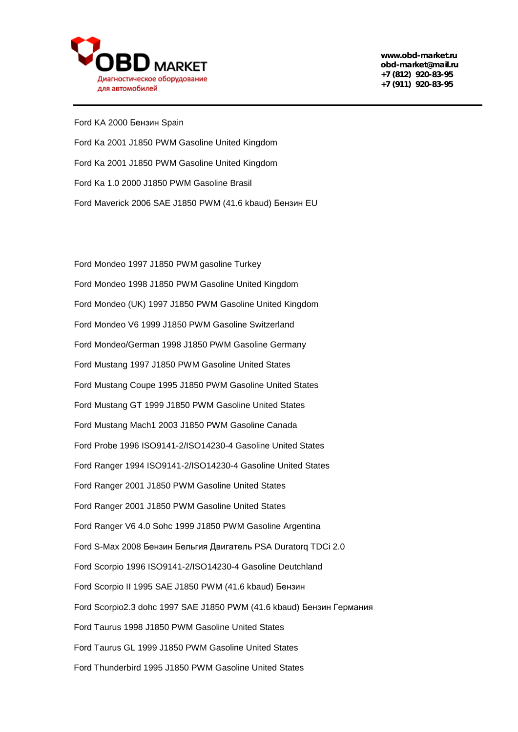

Ford KA 2000 Бензин Spain Ford Ka 2001 J1850 PWM Gasoline United Kingdom Ford Ka 2001 J1850 PWM Gasoline United Kingdom Ford Ka 1.0 2000 J1850 PWM Gasoline Brasil Ford Maverick 2006 SAE J1850 PWM (41.6 kbaud) Бензин EU

Ford Mondeo 1997 J1850 PWM gasoline Turkey Ford Mondeo 1998 J1850 PWM Gasoline United Kingdom Ford Mondeo (UK) 1997 J1850 PWM Gasoline United Kingdom Ford Mondeo V6 1999 J1850 PWM Gasoline Switzerland Ford Mondeo/German 1998 J1850 PWM Gasoline Germany Ford Mustang 1997 J1850 PWM Gasoline United States Ford Mustang Coupe 1995 J1850 PWM Gasoline United States Ford Mustang GT 1999 J1850 PWM Gasoline United States Ford Mustang Mach1 2003 J1850 PWM Gasoline Canada Ford Probe 1996 ISO9141-2/ISO14230-4 Gasoline United States Ford Ranger 1994 ISO9141-2/ISO14230-4 Gasoline United States Ford Ranger 2001 J1850 PWM Gasoline United States Ford Ranger 2001 J1850 PWM Gasoline United States Ford Ranger V6 4.0 Sohc 1999 J1850 PWM Gasoline Argentina Ford S-Max 2008 Бензин Бельгия Двигатель PSA Duratorq TDCi 2.0 Ford Scorpio 1996 ISO9141-2/ISO14230-4 Gasoline Deutchland Ford Scorpio II 1995 SAE J1850 PWM (41.6 kbaud) Бензин Ford Scorpio2.3 dohc 1997 SAE J1850 PWM (41.6 kbaud) Бензин Германия Ford Taurus 1998 J1850 PWM Gasoline United States Ford Taurus GL 1999 J1850 PWM Gasoline United States Ford Thunderbird 1995 J1850 PWM Gasoline United States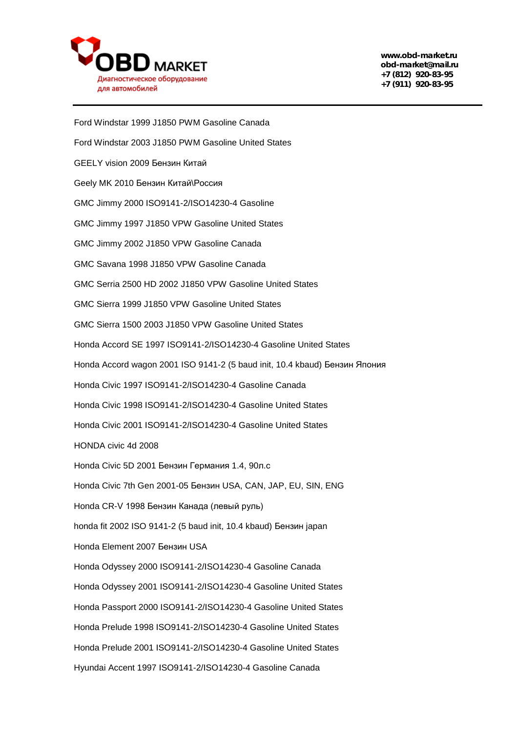

Ford Windstar 1999 J1850 PWM Gasoline Canada Ford Windstar 2003 J1850 PWM Gasoline United States GEELY vision 2009 Бензин Китай Geely MK 2010 Бензин Китай\Россия GMC Jimmy 2000 ISO9141-2/ISO14230-4 Gasoline GMC Jimmy 1997 J1850 VPW Gasoline United States GMC Jimmy 2002 J1850 VPW Gasoline Canada GMC Savana 1998 J1850 VPW Gasoline Canada GMC Serria 2500 HD 2002 J1850 VPW Gasoline United States GMC Sierra 1999 J1850 VPW Gasoline United States GMC Sierra 1500 2003 J1850 VPW Gasoline United States Honda Accord SE 1997 ISO9141-2/ISO14230-4 Gasoline United States Honda Accord wagon 2001 ISO 9141-2 (5 baud init, 10.4 kbaud) Бензин Япония Honda Civic 1997 ISO9141-2/ISO14230-4 Gasoline Canada Honda Civic 1998 ISO9141-2/ISO14230-4 Gasoline United States Honda Civic 2001 ISO9141-2/ISO14230-4 Gasoline United States HONDA civic 4d 2008 Honda Civic 5D 2001 Бензин Германия 1.4, 90л.с Honda Civic 7th Gen 2001-05 Бензин USA, CAN, JAP, EU, SIN, ENG Honda CR-V 1998 Бензин Канада (левый руль) honda fit 2002 ISO 9141-2 (5 baud init, 10.4 kbaud) Бензин japan Honda Element 2007 Бензин USA Honda Odyssey 2000 ISO9141-2/ISO14230-4 Gasoline Canada Honda Odyssey 2001 ISO9141-2/ISO14230-4 Gasoline United States Honda Passport 2000 ISO9141-2/ISO14230-4 Gasoline United States Honda Prelude 1998 ISO9141-2/ISO14230-4 Gasoline United States Honda Prelude 2001 ISO9141-2/ISO14230-4 Gasoline United States Hyundai Accent 1997 ISO9141-2/ISO14230-4 Gasoline Canada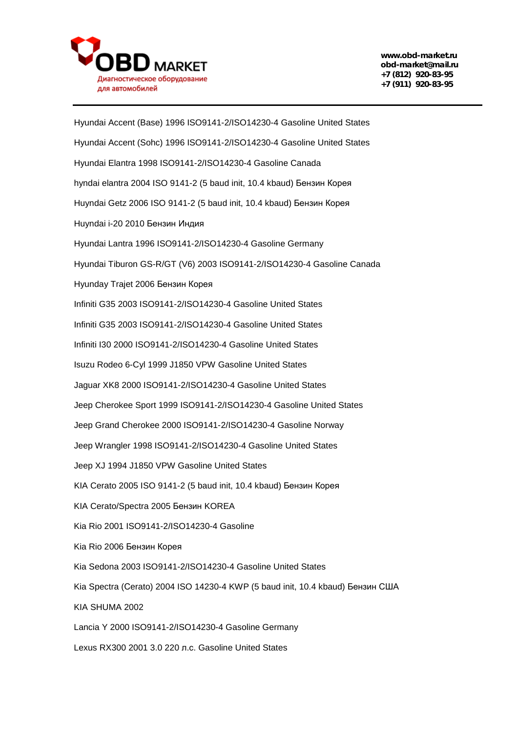

Hyundai Accent (Base) 1996 ISO9141-2/ISO14230-4 Gasoline United States Hyundai Accent (Sohc) 1996 ISO9141-2/ISO14230-4 Gasoline United States Hyundai Elantra 1998 ISO9141-2/ISO14230-4 Gasoline Canada hyndai elantra 2004 ISO 9141-2 (5 baud init, 10.4 kbaud) Бензин Корея Huyndai Getz 2006 ISO 9141-2 (5 baud init, 10.4 kbaud) Бензин Корея Huyndai i-20 2010 Бензин Индия Hyundai Lantra 1996 ISO9141-2/ISO14230-4 Gasoline Germany Hyundai Tiburon GS-R/GT (V6) 2003 ISO9141-2/ISO14230-4 Gasoline Canada Hyunday Trajet 2006 Бензин Корея Infiniti G35 2003 ISO9141-2/ISO14230-4 Gasoline United States Infiniti G35 2003 ISO9141-2/ISO14230-4 Gasoline United States Infiniti I30 2000 ISO9141-2/ISO14230-4 Gasoline United States Isuzu Rodeo 6-Cyl 1999 J1850 VPW Gasoline United States Jaguar XK8 2000 ISO9141-2/ISO14230-4 Gasoline United States Jeep Cherokee Sport 1999 ISO9141-2/ISO14230-4 Gasoline United States Jeep Grand Cherokee 2000 ISO9141-2/ISO14230-4 Gasoline Norway Jeep Wrangler 1998 ISO9141-2/ISO14230-4 Gasoline United States Jeep XJ 1994 J1850 VPW Gasoline United States KIA Cerato 2005 ISO 9141-2 (5 baud init, 10.4 kbaud) Бензин Корея KIA Cerato/Spectra 2005 Бензин KOREA Kia Rio 2001 ISO9141-2/ISO14230-4 Gasoline Kia Rio 2006 Бензин Корея Kia Sedona 2003 ISO9141-2/ISO14230-4 Gasoline United States Kia Spectra (Сerato) 2004 ISO 14230-4 KWP (5 baud init, 10.4 kbaud) Бензин США KIA SHUMA 2002 Lancia Y 2000 ISO9141-2/ISO14230-4 Gasoline Germany Lexus RX300 2001 3.0 220 л.с. Gasoline United States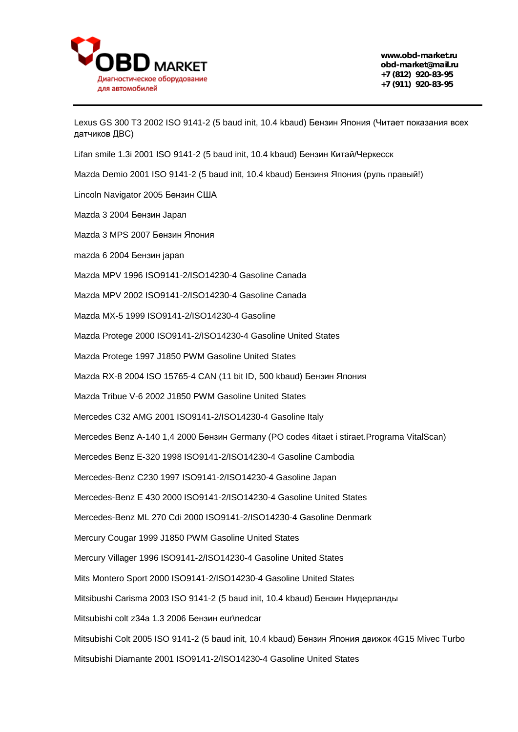

Lexus GS 300 T3 2002 ISO 9141-2 (5 baud init, 10.4 kbaud) Бензин Япония (Читает показания всех датчиков ДВС)

Lifan smile 1.3i 2001 ISO 9141-2 (5 baud init, 10.4 kbaud) Бензин Китай/Черкесск

Mazda Demio 2001 ISO 9141-2 (5 baud init, 10.4 kbaud) Бензиня Япония (руль правый!)

Lincoln Navigator 2005 Бензин США

Mazda 3 2004 Бензин Japan

Mazda 3 MPS 2007 Бензин Япония

mazda 6 2004 Бензин japan

Mazda MPV 1996 ISO9141-2/ISO14230-4 Gasoline Canada

Mazda MPV 2002 ISO9141-2/ISO14230-4 Gasoline Canada

Mazda MX-5 1999 ISO9141-2/ISO14230-4 Gasoline

Mazda Protege 2000 ISO9141-2/ISO14230-4 Gasoline United States

Mazda Protege 1997 J1850 PWM Gasoline United States

Mazda RX-8 2004 ISO 15765-4 CAN (11 bit ID, 500 kbaud) Бензин Япония

Mazda Tribue V-6 2002 J1850 PWM Gasoline United States

Mercedes C32 AMG 2001 ISO9141-2/ISO14230-4 Gasoline Italy

Mercedes Benz A-140 1,4 2000 Бензин Germany (PO codes 4itaet i stiraet.Programa VitalScan)

Mercedes Benz E-320 1998 ISO9141-2/ISO14230-4 Gasoline Cambodia

Mercedes-Benz C230 1997 ISO9141-2/ISO14230-4 Gasoline Japan

Mercedes-Benz E 430 2000 ISO9141-2/ISO14230-4 Gasoline United States

Mercedes-Benz ML 270 Cdi 2000 ISO9141-2/ISO14230-4 Gasoline Denmark

Mercury Cougar 1999 J1850 PWM Gasoline United States

Mercury Villager 1996 ISO9141-2/ISO14230-4 Gasoline United States

Mits Montero Sport 2000 ISO9141-2/ISO14230-4 Gasoline United States

Mitsibushi Carisma 2003 ISO 9141-2 (5 baud init, 10.4 kbaud) Бензин Нидерланды

Mitsubishi colt z34a 1.3 2006 Бензин eur\nedcar

Mitsubishi Colt 2005 ISO 9141-2 (5 baud init, 10.4 kbaud) Бензин Япония движок 4G15 Mivec Turbo

Mitsubishi Diamante 2001 ISO9141-2/ISO14230-4 Gasoline United States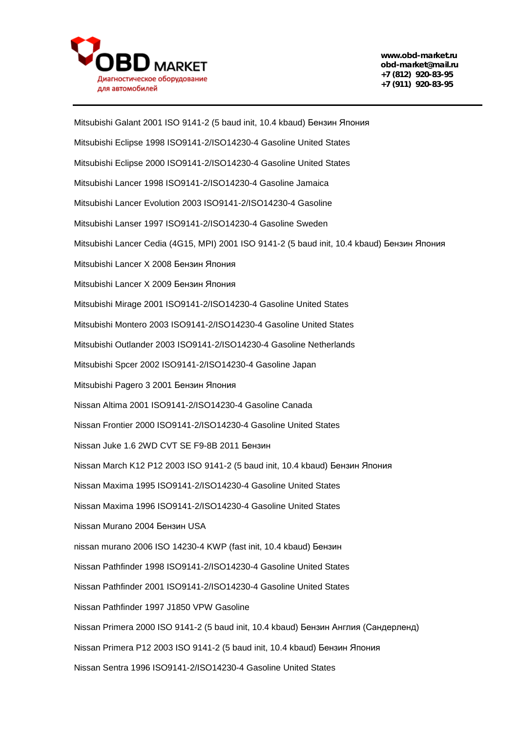

Mitsubishi Galant 2001 ISO 9141-2 (5 baud init, 10.4 kbaud) Бензин Япония Mitsubishi Eclipse 1998 ISO9141-2/ISO14230-4 Gasoline United States Mitsubishi Eclipse 2000 ISO9141-2/ISO14230-4 Gasoline United States Mitsubishi Lancer 1998 ISO9141-2/ISO14230-4 Gasoline Jamaica Mitsubishi Lancer Evolution 2003 ISO9141-2/ISO14230-4 Gasoline Mitsubishi Lanser 1997 ISO9141-2/ISO14230-4 Gasoline Sweden Mitsubishi Lancer Cedia (4G15, MPI) 2001 ISO 9141-2 (5 baud init, 10.4 kbaud) Бензин Япония Mitsubishi Lancer X 2008 Бензин Япония Mitsubishi Lancer X 2009 Бензин Япония Mitsubishi Mirage 2001 ISO9141-2/ISO14230-4 Gasoline United States Mitsubishi Montero 2003 ISO9141-2/ISO14230-4 Gasoline United States Mitsubishi Outlander 2003 ISO9141-2/ISO14230-4 Gasoline Netherlands Mitsubishi Spcer 2002 ISO9141-2/ISO14230-4 Gasoline Japan Mitsubishi Pagero 3 2001 Бензин Япония Nissan Altima 2001 ISO9141-2/ISO14230-4 Gasoline Canada Nissan Frontier 2000 ISO9141-2/ISO14230-4 Gasoline United States Nissan Juke 1.6 2WD CVT SE F9-8B 2011 Бензин Nissan March K12 P12 2003 ISO 9141-2 (5 baud init, 10.4 kbaud) Бензин Япония Nissan Maxima 1995 ISO9141-2/ISO14230-4 Gasoline United States Nissan Maxima 1996 ISO9141-2/ISO14230-4 Gasoline United States Nissan Murano 2004 Бензин USA nissan murano 2006 ISO 14230-4 KWP (fast init, 10.4 kbaud) Бензин Nissan Pathfinder 1998 ISO9141-2/ISO14230-4 Gasoline United States Nissan Pathfinder 2001 ISO9141-2/ISO14230-4 Gasoline United States Nissan Pathfinder 1997 J1850 VPW Gasoline Nissan Primera 2000 ISO 9141-2 (5 baud init, 10.4 kbaud) Бензин Англия (Сандерленд) Nissan Primera P12 2003 ISO 9141-2 (5 baud init, 10.4 kbaud) Бензин Япония Nissan Sentra 1996 ISO9141-2/ISO14230-4 Gasoline United States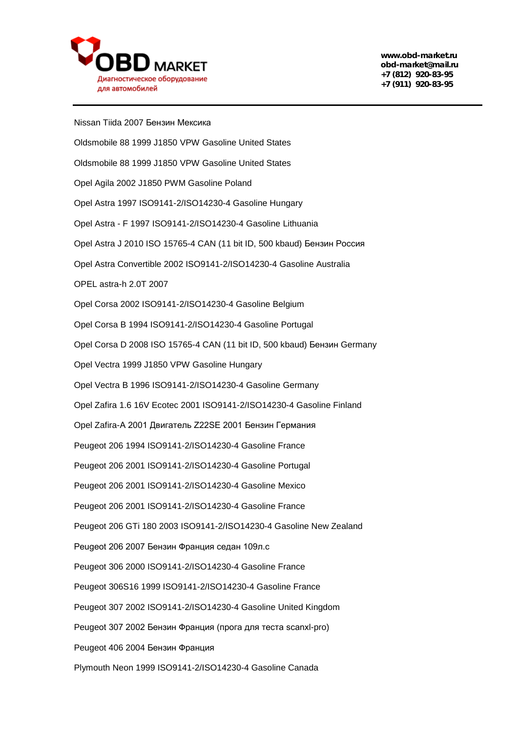

Nissan Tiida 2007 Бензин Мексика Oldsmobile 88 1999 J1850 VPW Gasoline United States Oldsmobile 88 1999 J1850 VPW Gasoline United States Opel Agila 2002 J1850 PWM Gasoline Poland Opel Astra 1997 ISO9141-2/ISO14230-4 Gasoline Hungary Opel Astra - F 1997 ISO9141-2/ISO14230-4 Gasoline Lithuania Opel Astra J 2010 ISO 15765-4 CAN (11 bit ID, 500 kbaud) Бензин Россия Opel Astra Convertible 2002 ISO9141-2/ISO14230-4 Gasoline Australia OPEL astra-h 2.0T 2007 Opel Corsa 2002 ISO9141-2/ISO14230-4 Gasoline Belgium Opel Corsa B 1994 ISO9141-2/ISO14230-4 Gasoline Portugal Opel Corsa D 2008 ISO 15765-4 CAN (11 bit ID, 500 kbaud) Бензин Germany Opel Vectra 1999 J1850 VPW Gasoline Hungary Opel Vectra B 1996 ISO9141-2/ISO14230-4 Gasoline Germany Opel Zafira 1.6 16V Ecotec 2001 ISO9141-2/ISO14230-4 Gasoline Finland Opel Zafira-A 2001 Двигатель Z22SE 2001 Бензин Германия Peugeot 206 1994 ISO9141-2/ISO14230-4 Gasoline France Peugeot 206 2001 ISO9141-2/ISO14230-4 Gasoline Portugal Peugeot 206 2001 ISO9141-2/ISO14230-4 Gasoline Mexico Peugeot 206 2001 ISO9141-2/ISO14230-4 Gasoline France Peugeot 206 GTi 180 2003 ISO9141-2/ISO14230-4 Gasoline New Zealand Peugeot 206 2007 Бензин Франция седан 109л.с Peugeot 306 2000 ISO9141-2/ISO14230-4 Gasoline France Peugeot 306S16 1999 ISO9141-2/ISO14230-4 Gasoline France Peugeot 307 2002 ISO9141-2/ISO14230-4 Gasoline United Kingdom Peugeot 307 2002 Бензин Франция (прога для теста scanxl-pro) Peugeot 406 2004 Бензин Франция Plymouth Neon 1999 ISO9141-2/ISO14230-4 Gasoline Canada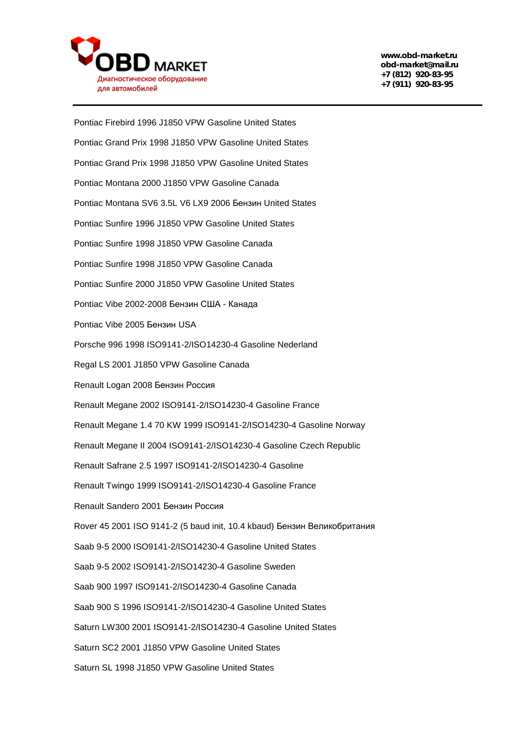

Pontiac Firebird 1996 J1850 VPW Gasoline United States Pontiac Grand Prix 1998 J1850 VPW Gasoline United States Pontiac Grand Prix 1998 J1850 VPW Gasoline United States Pontiac Montana 2000 J1850 VPW Gasoline Canada Pontiac Montana SV6 3.5L V6 LX9 2006 Бензин United States Pontiac Sunfire 1996 J1850 VPW Gasoline United States Pontiac Sunfire 1998 J1850 VPW Gasoline Canada Pontiac Sunfire 1998 J1850 VPW Gasoline Canada Pontiac Sunfire 2000 J1850 VPW Gasoline United States Pontiac Vibe 2002-2008 Бензин США - Канада Pontiac Vibe 2005 Бензин USA Porsche 996 1998 ISO9141-2/ISO14230-4 Gasoline Nederland Regal LS 2001 J1850 VPW Gasoline Canada Renault Logan 2008 Бензин Россия Renault Megane 2002 ISO9141-2/ISO14230-4 Gasoline France Renault Megane 1.4 70 KW 1999 ISO9141-2/ISO14230-4 Gasoline Norway Renault Megane II 2004 ISO9141-2/ISO14230-4 Gasoline Czech Republic Renault Safrane 2.5 1997 ISO9141-2/ISO14230-4 Gasoline Renault Twingo 1999 ISO9141-2/ISO14230-4 Gasoline France Renault Sandero 2001 Бензин Россия Rover 45 2001 ISO 9141-2 (5 baud init, 10.4 kbaud) Бензин Великобритания Saab 9-5 2000 ISO9141-2/ISO14230-4 Gasoline United States Saab 9-5 2002 ISO9141-2/ISO14230-4 Gasoline Sweden Saab 900 1997 ISO9141-2/ISO14230-4 Gasoline Canada Saab 900 S 1996 ISO9141-2/ISO14230-4 Gasoline United States Saturn LW300 2001 ISO9141-2/ISO14230-4 Gasoline United States Saturn SC2 2001 J1850 VPW Gasoline United States Saturn SL 1998 J1850 VPW Gasoline United States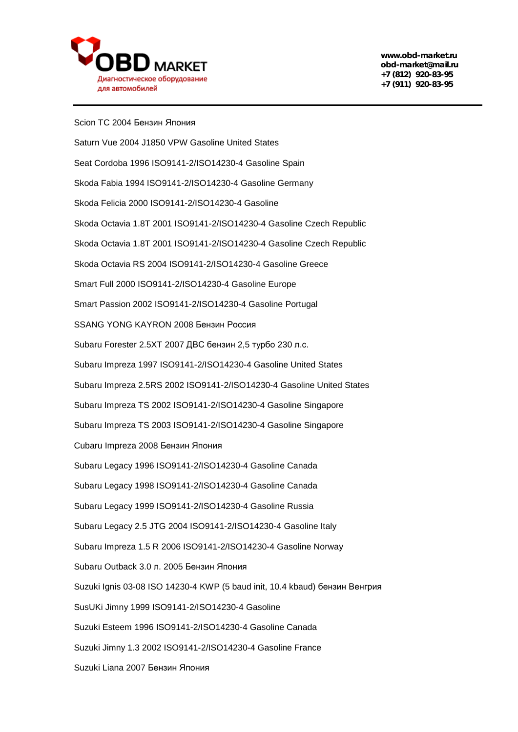

Scion TC 2004 Бензин Япония Saturn Vue 2004 J1850 VPW Gasoline United States Seat Cordoba 1996 ISO9141-2/ISO14230-4 Gasoline Spain Skoda Fabia 1994 ISO9141-2/ISO14230-4 Gasoline Germany Skoda Felicia 2000 ISO9141-2/ISO14230-4 Gasoline Skoda Octavia 1.8T 2001 ISO9141-2/ISO14230-4 Gasoline Czech Republic Skoda Octavia 1.8T 2001 ISO9141-2/ISO14230-4 Gasoline Czech Republic Skoda Octavia RS 2004 ISO9141-2/ISO14230-4 Gasoline Greece Smart Full 2000 ISO9141-2/ISO14230-4 Gasoline Europe Smart Passion 2002 ISO9141-2/ISO14230-4 Gasoline Portugal SSANG YONG KAYRON 2008 Бензин Россия Subaru Forester 2.5XT 2007 ДВС бензин 2,5 турбо 230 л.с. Subaru Impreza 1997 ISO9141-2/ISO14230-4 Gasoline United States Subaru Impreza 2.5RS 2002 ISO9141-2/ISO14230-4 Gasoline United States Subaru Impreza TS 2002 ISO9141-2/ISO14230-4 Gasoline Singapore Subaru Impreza TS 2003 ISO9141-2/ISO14230-4 Gasoline Singapore Cubaru Impreza 2008 Бензин Япония Subaru Legacy 1996 ISO9141-2/ISO14230-4 Gasoline Canada Subaru Legacy 1998 ISO9141-2/ISO14230-4 Gasoline Canada Subaru Legacy 1999 ISO9141-2/ISO14230-4 Gasoline Russia Subaru Legacy 2.5 JTG 2004 ISO9141-2/ISO14230-4 Gasoline Italy Subaru Impreza 1.5 R 2006 ISO9141-2/ISO14230-4 Gasoline Norway Subaru Outback 3.0 л. 2005 Бензин Япония Suzuki Ignis 03-08 ISO 14230-4 KWP (5 baud init, 10.4 kbaud) бензин Венгрия SusUKi Jimny 1999 ISO9141-2/ISO14230-4 Gasoline Suzuki Esteem 1996 ISO9141-2/ISO14230-4 Gasoline Canada Suzuki Jimny 1.3 2002 ISO9141-2/ISO14230-4 Gasoline France Suzuki Liana 2007 Бензин Япония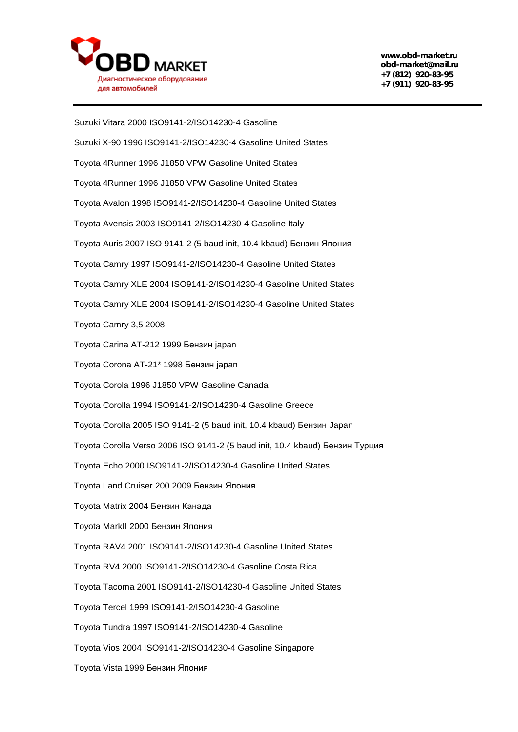

Suzuki Vitara 2000 ISO9141-2/ISO14230-4 Gasoline Suzuki X-90 1996 ISO9141-2/ISO14230-4 Gasoline United States Toyota 4Runner 1996 J1850 VPW Gasoline United States Toyota 4Runner 1996 J1850 VPW Gasoline United States Toyota Avalon 1998 ISO9141-2/ISO14230-4 Gasoline United States Toyota Avensis 2003 ISO9141-2/ISO14230-4 Gasoline Italy Toyota Auris 2007 ISO 9141-2 (5 baud init, 10.4 kbaud) Бензин Япония Toyota Camry 1997 ISO9141-2/ISO14230-4 Gasoline United States Toyota Camry XLE 2004 ISO9141-2/ISO14230-4 Gasoline United States Toyota Camry XLE 2004 ISO9141-2/ISO14230-4 Gasoline United States Toyota Camry 3,5 2008 Toyota Carina AT-212 1999 Бензин japan Toyota Corona AT-21\* 1998 Бензин japan Toyota Corola 1996 J1850 VPW Gasoline Canada Toyota Corolla 1994 ISO9141-2/ISO14230-4 Gasoline Greece Toyota Corolla 2005 ISO 9141-2 (5 baud init, 10.4 kbaud) Бензин Japan Toyota Corolla Verso 2006 ISO 9141-2 (5 baud init, 10.4 kbaud) Бензин Турция Toyota Echo 2000 ISO9141-2/ISO14230-4 Gasoline United States Toyota Land Cruiser 200 2009 Бензин Япония Toyota Matrix 2004 Бензин Канада Toyota MarkII 2000 Бензин Япония Toyota RAV4 2001 ISO9141-2/ISO14230-4 Gasoline United States Toyota RV4 2000 ISO9141-2/ISO14230-4 Gasoline Costa Rica Toyota Tacoma 2001 ISO9141-2/ISO14230-4 Gasoline United States Toyota Tercel 1999 ISO9141-2/ISO14230-4 Gasoline Toyota Tundra 1997 ISO9141-2/ISO14230-4 Gasoline Toyota Vios 2004 ISO9141-2/ISO14230-4 Gasoline Singapore Toyota Vista 1999 Бензин Япония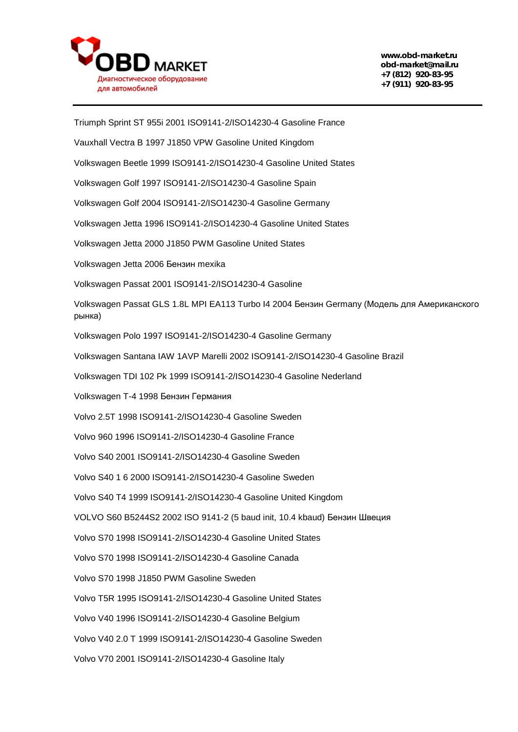

Triumph Sprint ST 955i 2001 ISO9141-2/ISO14230-4 Gasoline France Vauxhall Vectra B 1997 J1850 VPW Gasoline United Kingdom Volkswagen Beetle 1999 ISO9141-2/ISO14230-4 Gasoline United States Volkswagen Golf 1997 ISO9141-2/ISO14230-4 Gasoline Spain Volkswagen Golf 2004 ISO9141-2/ISO14230-4 Gasoline Germany Volkswagen Jetta 1996 ISO9141-2/ISO14230-4 Gasoline United States Volkswagen Jetta 2000 J1850 PWM Gasoline United States Volkswagen Jetta 2006 Бензин mexika Volkswagen Passat 2001 ISO9141-2/ISO14230-4 Gasoline Volkswagen Passat GLS 1.8L MPI EA113 Turbo I4 2004 Бензин Germany (Модель для Американского рынка) Volkswagen Polo 1997 ISO9141-2/ISO14230-4 Gasoline Germany Volkswagen Santana IAW 1AVP Marelli 2002 ISO9141-2/ISO14230-4 Gasoline Brazil Volkswagen TDI 102 Pk 1999 ISO9141-2/ISO14230-4 Gasoline Nederland Volkswagen T-4 1998 Бензин Германия Volvo 2.5T 1998 ISO9141-2/ISO14230-4 Gasoline Sweden Volvo 960 1996 ISO9141-2/ISO14230-4 Gasoline France Volvo S40 2001 ISO9141-2/ISO14230-4 Gasoline Sweden Volvo S40 1 6 2000 ISO9141-2/ISO14230-4 Gasoline Sweden Volvo S40 T4 1999 ISO9141-2/ISO14230-4 Gasoline United Kingdom VOLVO S60 B5244S2 2002 ISO 9141-2 (5 baud init, 10.4 kbaud) Бензин Швеция Volvo S70 1998 ISO9141-2/ISO14230-4 Gasoline United States Volvo S70 1998 ISO9141-2/ISO14230-4 Gasoline Canada Volvo S70 1998 J1850 PWM Gasoline Sweden Volvo T5R 1995 ISO9141-2/ISO14230-4 Gasoline United States Volvo V40 1996 ISO9141-2/ISO14230-4 Gasoline Belgium Volvo V40 2.0 T 1999 ISO9141-2/ISO14230-4 Gasoline Sweden Volvo V70 2001 ISO9141-2/ISO14230-4 Gasoline Italy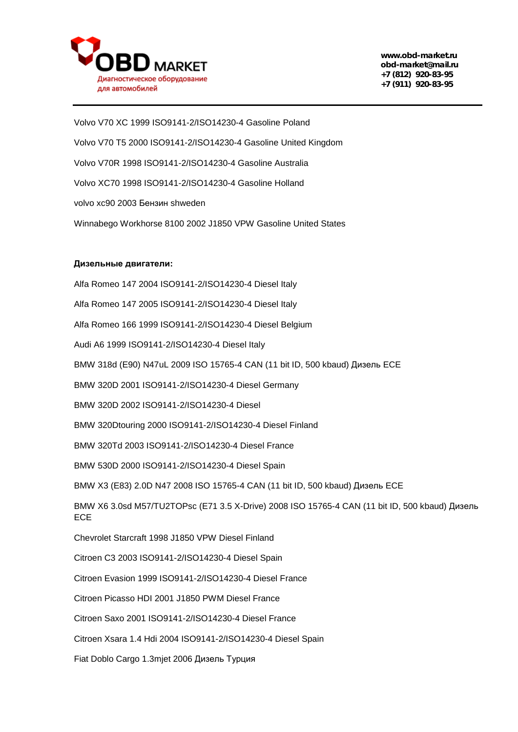

Volvo V70 XC 1999 ISO9141-2/ISO14230-4 Gasoline Poland Volvo V70 T5 2000 ISO9141-2/ISO14230-4 Gasoline United Kingdom Volvo V70R 1998 ISO9141-2/ISO14230-4 Gasoline Australia Volvo XC70 1998 ISO9141-2/ISO14230-4 Gasoline Holland volvo xc90 2003 Бензин shweden Winnabego Workhorse 8100 2002 J1850 VPW Gasoline United States

## **Дизельные двигатели:**

Alfa Romeo 147 2004 ISO9141-2/ISO14230-4 Diesel Italy Alfa Romeo 147 2005 ISO9141-2/ISO14230-4 Diesel Italy Alfa Romeo 166 1999 ISO9141-2/ISO14230-4 Diesel Belgium Audi A6 1999 ISO9141-2/ISO14230-4 Diesel Italy BMW 318d (E90) N47uL 2009 ISO 15765-4 CAN (11 bit ID, 500 kbaud) Дизель ECE BMW 320D 2001 ISO9141-2/ISO14230-4 Diesel Germany BMW 320D 2002 ISO9141-2/ISO14230-4 Diesel BMW 320Dtouring 2000 ISO9141-2/ISO14230-4 Diesel Finland BMW 320Td 2003 ISO9141-2/ISO14230-4 Diesel France BMW 530D 2000 ISO9141-2/ISO14230-4 Diesel Spain BMW X3 (E83) 2.0D N47 2008 ISO 15765-4 CAN (11 bit ID, 500 kbaud) Дизель ECE BMW X6 3.0sd M57/TU2TOPsc (E71 3.5 X-Drive) 2008 ISO 15765-4 CAN (11 bit ID, 500 kbaud) Дизель **ECE** Chevrolet Starcraft 1998 J1850 VPW Diesel Finland Citroen C3 2003 ISO9141-2/ISO14230-4 Diesel Spain Citroen Evasion 1999 ISO9141-2/ISO14230-4 Diesel France Citroen Picasso HDI 2001 J1850 PWM Diesel France Citroen Saxo 2001 ISO9141-2/ISO14230-4 Diesel France Citroen Xsara 1.4 Hdi 2004 ISO9141-2/ISO14230-4 Diesel Spain

Fiat Doblo Cargo 1.3mjet 2006 Дизель Турция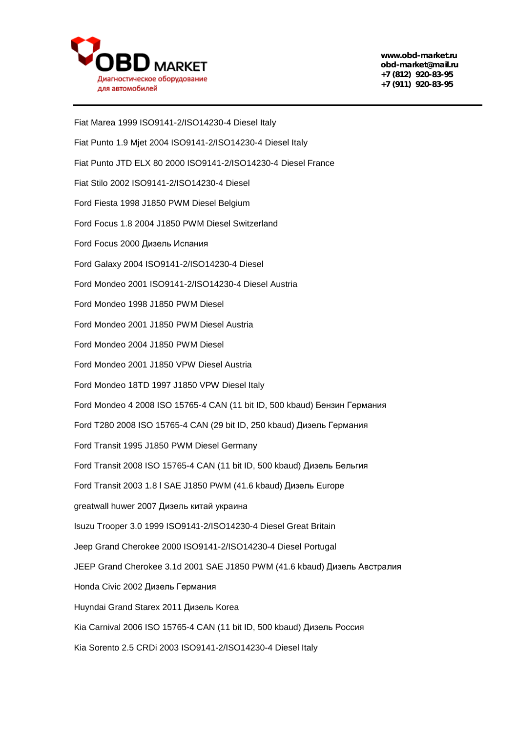

Fiat Marea 1999 ISO9141-2/ISO14230-4 Diesel Italy Fiat Punto 1.9 Mjet 2004 ISO9141-2/ISO14230-4 Diesel Italy Fiat Punto JTD ELX 80 2000 ISO9141-2/ISO14230-4 Diesel France Fiat Stilo 2002 ISO9141-2/ISO14230-4 Diesel Ford Fiesta 1998 J1850 PWM Diesel Belgium Ford Focus 1.8 2004 J1850 PWM Diesel Switzerland Ford Focus 2000 Дизель Испания Ford Galaxy 2004 ISO9141-2/ISO14230-4 Diesel Ford Mondeo 2001 ISO9141-2/ISO14230-4 Diesel Austria Ford Mondeo 1998 J1850 PWM Diesel Ford Mondeo 2001 J1850 PWM Diesel Austria Ford Mondeo 2004 J1850 PWM Diesel Ford Mondeo 2001 J1850 VPW Diesel Austria Ford Mondeo 18TD 1997 J1850 VPW Diesel Italy Ford Mondeo 4 2008 ISO 15765-4 CAN (11 bit ID, 500 kbaud) Бензин Германия Ford T280 2008 ISO 15765-4 CAN (29 bit ID, 250 kbaud) Дизель Германия Ford Transit 1995 J1850 PWM Diesel Germany Ford Transit 2008 ISO 15765-4 CAN (11 bit ID, 500 kbaud) Дизель Бельгия Ford Transit 2003 1.8 l SAE J1850 PWM (41.6 kbaud) Дизель Europe greatwall huwer 2007 Дизель китай украина Isuzu Trooper 3.0 1999 ISO9141-2/ISO14230-4 Diesel Great Britain Jeep Grand Cherokee 2000 ISO9141-2/ISO14230-4 Diesel Portugal JEEP Grand Cherokee 3.1d 2001 SAE J1850 PWM (41.6 kbaud) Дизель Австралия Honda Civic 2002 Дизель Германия Huyndai Grand Starex 2011 Дизель Korea Kia Carnival 2006 ISO 15765-4 CAN (11 bit ID, 500 kbaud) Дизель Россия Kia Sorento 2.5 CRDi 2003 ISO9141-2/ISO14230-4 Diesel Italy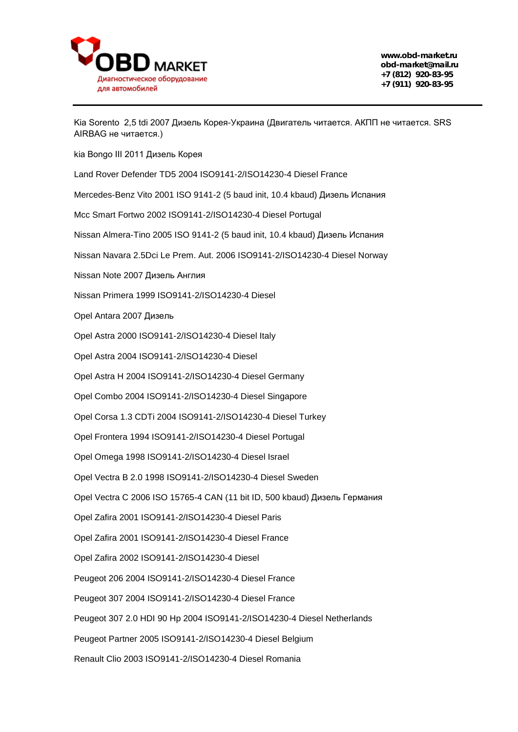

Kia Sorento 2,5 tdi 2007 Дизель Корея-Украина (Двигатель читается. АКПП не читается. SRS AIRBAG не читается.)

kia Bongo III 2011 Дизель Корея

Land Rover Defender TD5 2004 ISO9141-2/ISO14230-4 Diesel France

Mercedes-Benz Vito 2001 ISO 9141-2 (5 baud init, 10.4 kbaud) Дизель Испания

Mcc Smart Fortwo 2002 ISO9141-2/ISO14230-4 Diesel Portugal

Nissan Almera-Tino 2005 ISO 9141-2 (5 baud init, 10.4 kbaud) Дизель Испания

Nissan Navara 2.5Dci Le Prem. Aut. 2006 ISO9141-2/ISO14230-4 Diesel Norway

Nissan Note 2007 Дизель Англия

Nissan Primera 1999 ISO9141-2/ISO14230-4 Diesel

Opel Antara 2007 Дизель

Opel Astra 2000 ISO9141-2/ISO14230-4 Diesel Italy

Opel Astra 2004 ISO9141-2/ISO14230-4 Diesel

Opel Astra H 2004 ISO9141-2/ISO14230-4 Diesel Germany

Opel Combo 2004 ISO9141-2/ISO14230-4 Diesel Singapore

Opel Corsa 1.3 CDTi 2004 ISO9141-2/ISO14230-4 Diesel Turkey

Opel Frontera 1994 ISO9141-2/ISO14230-4 Diesel Portugal

Opel Omega 1998 ISO9141-2/ISO14230-4 Diesel Israel

Opel Vectra B 2.0 1998 ISO9141-2/ISO14230-4 Diesel Sweden

Opel Vectra C 2006 ISO 15765-4 CAN (11 bit ID, 500 kbaud) Дизель Германия

Opel Zafira 2001 ISO9141-2/ISO14230-4 Diesel Paris

Opel Zafira 2001 ISO9141-2/ISO14230-4 Diesel France

Opel Zafira 2002 ISO9141-2/ISO14230-4 Diesel

Peugeot 206 2004 ISO9141-2/ISO14230-4 Diesel France

Peugeot 307 2004 ISO9141-2/ISO14230-4 Diesel France

Peugeot 307 2.0 HDI 90 Hp 2004 ISO9141-2/ISO14230-4 Diesel Netherlands

Peugeot Partner 2005 ISO9141-2/ISO14230-4 Diesel Belgium

Renault Clio 2003 ISO9141-2/ISO14230-4 Diesel Romania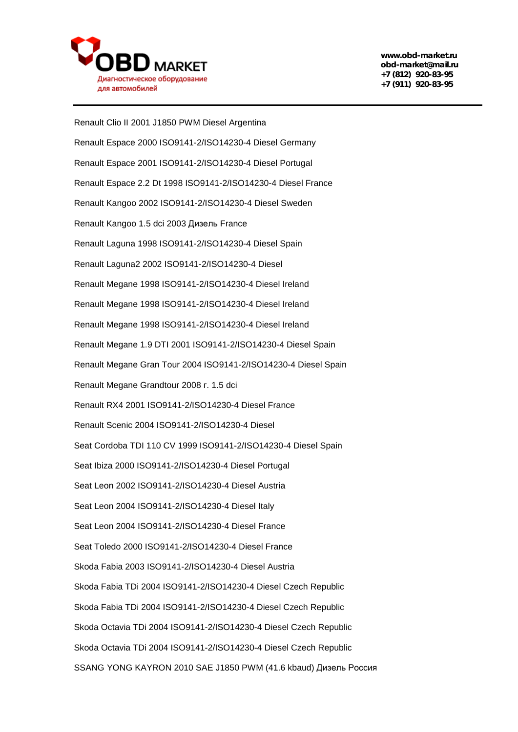

Renault Clio II 2001 J1850 PWM Diesel Argentina Renault Espace 2000 ISO9141-2/ISO14230-4 Diesel Germany Renault Espace 2001 ISO9141-2/ISO14230-4 Diesel Portugal Renault Espace 2.2 Dt 1998 ISO9141-2/ISO14230-4 Diesel France Renault Kangoo 2002 ISO9141-2/ISO14230-4 Diesel Sweden Renault Kangoo 1.5 dci 2003 Дизель France Renault Laguna 1998 ISO9141-2/ISO14230-4 Diesel Spain Renault Laguna2 2002 ISO9141-2/ISO14230-4 Diesel Renault Megane 1998 ISO9141-2/ISO14230-4 Diesel Ireland Renault Megane 1998 ISO9141-2/ISO14230-4 Diesel Ireland Renault Megane 1998 ISO9141-2/ISO14230-4 Diesel Ireland Renault Megane 1.9 DTI 2001 ISO9141-2/ISO14230-4 Diesel Spain Renault Megane Gran Tour 2004 ISO9141-2/ISO14230-4 Diesel Spain Renault Megane Grandtour 2008 г. 1.5 dci Renault RX4 2001 ISO9141-2/ISO14230-4 Diesel France Renault Scenic 2004 ISO9141-2/ISO14230-4 Diesel Seat Cordoba TDI 110 CV 1999 ISO9141-2/ISO14230-4 Diesel Spain Seat Ibiza 2000 ISO9141-2/ISO14230-4 Diesel Portugal Seat Leon 2002 ISO9141-2/ISO14230-4 Diesel Austria Seat Leon 2004 ISO9141-2/ISO14230-4 Diesel Italy Seat Leon 2004 ISO9141-2/ISO14230-4 Diesel France Seat Toledo 2000 ISO9141-2/ISO14230-4 Diesel France Skoda Fabia 2003 ISO9141-2/ISO14230-4 Diesel Austria Skoda Fabia TDi 2004 ISO9141-2/ISO14230-4 Diesel Czech Republic Skoda Fabia TDi 2004 ISO9141-2/ISO14230-4 Diesel Czech Republic Skoda Octavia TDi 2004 ISO9141-2/ISO14230-4 Diesel Czech Republic Skoda Octavia TDi 2004 ISO9141-2/ISO14230-4 Diesel Czech Republic SSANG YONG KAYRON 2010 SAE J1850 PWM (41.6 kbaud) Дизель Россия